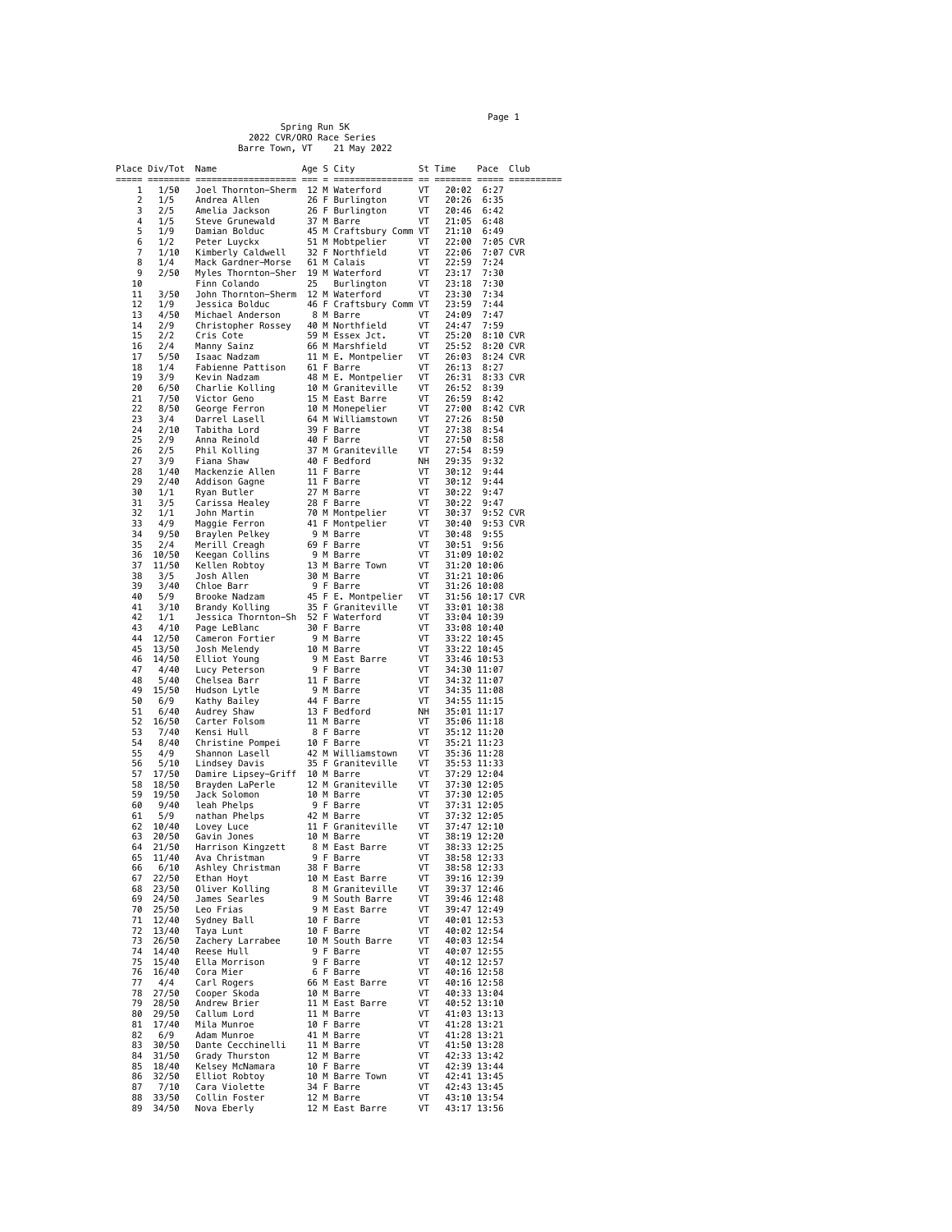Spring Run 5K 2022 CVR/ORO Race Series<br>arre Town, VT 21 May 2022 Barre Town, VT

Place Div/Tot Name  $\frac{\text{Age S City}}{\text{1} = \frac{1}{2} = \frac{1}{2} = \frac{1}{2} = \frac{1}{2} = \frac{1}{2} = \frac{1}{2} = \frac{1}{2} = \frac{1}{2} = \frac{1}{2} = \frac{1}{2} = \frac{1}{2} = \frac{1}{2} = \frac{1}{2} = \frac{1}{2} = \frac{1}{2} = \frac{1}{2} = \frac{1}{2} = \frac{1}{2} = \frac{1}{2} = \frac{1}{2} = \frac{1}{2} = \frac{1}{2} = \frac{1}{2} = \frac$ ===== ======== =================== === = =============== == ======= ===== ========== 1 1/50 Joel Thornton-Sherm 12 M Waterford VT 20:02 6:27 2 1/5 Andrea Allen 26 F Burlington VT 20:26 6:35<br>3 2/5 Amelia Jackson 26 F Burlington VT 20:46 6:42 كانات المساحة التي تتحدد المساحة 26 F Burlington 126 F Burlington 126 F 20:46<br>3 2/5 Amelia Jackson 26 F Burlington 1/1 20:46 6:42<br>4 1/5 Steve Grunewald 37 M Rarre 4 1/5 Steve Grunewald 37 M Barre VT 21:05 6:48<br>5 1/9 Damian Bolduc 45 M Craftsbury Comm VT 21:10 6:49 1/9 Damian Bolduc 197 m Darit 100 m 121:00 0.49<br>6 1/2 Peter Luyckx 51 M Mobtpelier VT 22:00 7:05 CVR<br>7 1/10 Kimberly Caldwell 32 F Northfield VT 22:06 7:07 CVR 6 1/2 Peter Luyckx 51 M Mobtpelier VT 22:00 7:05 CVR 7 1/10 Kimberly Caldwell 32 F Northfield VT 22:06 7:07 CVR 8 1/4 Mack Gardner-Morse 61 M Calais VT 22:59 7:24 9 2/50 Myles Thornton-Sher 19 M Waterford VT 23:17 7:30 10 Finn Colando 25 Burlington VT 23:18 7:30 11 3/50 John Thornton-Sherm 12 M Waterford VT 23:30 7:34 11 3/50 John Thornton-Sherm 12 M Waterford VT 23:30 7:34<br>12 1/9 Jessica Bolduc 46 F Craftsbury Comm VT 23:59 7:44<br>14 4/50 Michael Anderson 8 M Barre VT 24:09 7:44<br>14 2/9 Christopher Rossey 40 M Northfield VT 24:47 7:59<br>15 13 4/50 Michael Anderson 8 M Barre VT 24:09 7:47 14 2/9 Christopher Rossey 40 M Northfield VT 24:47 7:59 15 2/2 Cris Cote 59 M Essex Jct. VT 25:20 8:10 CVR 16 2/4 Manny Sainz 66 M Marshfield VT 25:52 8:20 CVR 17 5/50 Islam Sainz 50 Marshfield VT 25:52 8:20 CVR<br>17 5/50 Isaac Nadzam 11 M E. Montpelier VT 26:03 8:24 CVR<br>18 1/4 Fabienne Pattison 61 F Barre VT 26:03 8:24 CVR<br>19 3/9 Kevin Nadzam 48 M E. Montpelier VT 26:31 8:33 CVR<br>2 18 1/4 Fabienne Pattison 61 F Barre VT 26:13 8:27 19 3/9 Kevin Nadzam 48 M E. Montpelier VT 26:31 8:33 CVR 20 6/50 Charlie Kolling 10 M Graniteville VT 26:52 8:39 21 7/50 Victor Geno 15 M East Barre VT 26:59 8:42 22 8/50 George Ferron 10 M Monepelier VT 27:00 8:42 CVR 21 7/50 Victor Geno<br>
22 8/50 George Ferron 10 M Monepelier VT 27:00 8:42<br>
23 3/4 Darrel Lasell 64 M Williamstown VT 27:26 8:50<br>
25 2/9 Anna Reinold 39 F Barre VT 27:38 8:54<br>
25 2/9 Anna Reinold 40 F Barre VT 27:50 8:58 2/10 Tabitha Lord 39 F Barre 10 17 27:38 8:54<br>2/9 Anna Reinold 40 F Barre 10 17 27:50 8:58 25 2/9 Anna Reinold 20 F Barre 17 27:50 8:58<br>26 2/5 Phil Kolling 37 M Graniteville VT 27:50 8:58<br>27 3/9 Fiana Shaw 40 F Bedford NH 29:35 9:32 26 2/5 Phil Kolling 37 M Graniteville VT 27:54 8:59 27 3/9 Fiana Shaw 40 F Bedford NH 29:35 9:32 28 1/40 Mackenzie Allen 11 F Barre VT 30:12 9:44 29 2/40 Mackenzie Allen 11 F Barre 11 VT 30:12 9:44<br>29 2/40 Addison Gagne 11 F Barre 11 VT 30:12 9:44<br>29 1/1 Ryan Butler 27 M Barre 11 30:22 9:47 30 1/1 Ryan Butler 27 M Barre VT 30:22 9:47 31 3/5 Carissa Healey 28 F Barre VT 30:22 9:47 31 3/5 Carissa-Healey 28 F Barre 1982 - 28 - 17 30:22 9:47<br>32 1/1 John Martin 1980 - 70 M Montpelier 17 30:40 9:53 CVR<br>33 4/9 Maggie Ferron 11 F Montpelier 17 30:40 9:53 CVR 33 4/9 Maggie Ferron 41 F Montpelier VT 30:40 9:53<br>35 2/4 Merill Creagh 9 M Barre VT 30:40 9:53<br>36 10/50 Keegan Collins 9 M Barre VT 31:09 10:02<br>37 11/50 Keegan Collins 9 M Barre VT 31:09 10:02<br>37 11/50 Kellen Robtoy 13 M 9/50 Braylen Pelkey 9 M Barre 11 30:48 9:55<br>19/4 Merill Creagh 199 Barre 11 31:51 9:55<br>10/50 Keegan Collins 9 M Barre 11/50 Kellen Robtoy 13 M Barre Town 11:20 10:02 35 2/4 Merill Creagh 69 F Barre VT 30:51 9:56 36 10/50 Keegan Collins 9 M Barre VT 31:09 10:02 37 11/50 Kellen Robtoy 13 M Barre Town VT 31:20 10:06 38 3/5 Josh Allen 30 M Barre VT 31:21 10:06<br>39 3/40 Chloe Barr 9 F Barre VT 31:26 10:06<br>40 5/9 Brooke Nadzam 45 F E. Montpelier VT 31:56 10:17<br>42 1/1 Jessica Thornton-Sh 52 F Waterford VT 33:04 10:38<br>42 1/1 Jessica Thornto 3/40 Chloe Barr 9 F Barre VT 31:26 10:08<br>5/9 Brooke Nadzam 45 F E. Montpelier VT 31:56 10:17 CVR 40 11:00 12:00 12:00 12:00 12:00 12:00 12:00 12:00 12:00 12:00 13:00 13:00 13:00 13:00 13:00 13:00 13:00 13:00<br>19 Brandy Kolling 135 F Graniteville 1/1 33:01 10:38 45 F. Homepecter<br>35 F Graniteville VT<br>52 F Waterford VT 42 1/1 Jessica Thornton-Sh 52 F Waterford VT 33:04 10:39<br>43 4/10 Page LeBlanc 30 F Barre VT 33:08 10:40<br>45 12/50 Comeron Fortier 9 M Barre VT 33:22 10:45<br>46 14/50 Elliot Young 9 M East Barre VT 33:22 10:45<br>47 4/40 Lucy Pet 43 4/10 Page LeBlanc 30 F Barre VT 33:08 10:40 44 12/50 Cameron Fortier 9 M Barre VT 33:22 10:45 13/50 Josh Melendy 10 M Barre VT 33:22 10:45<br>14/50 Elliot Young 9 M East Barre VT 33:22 10:53<br>4/40 Lucy Peterson 9 F Barre VT 34:30 11:07 46 14/50 Elliot Young 9 M East Barre VT 33:46 10:53 47 4/40 Lucy Peterson 9 F Barre VT 34:30 11:07 49 Lucy Peterson<br>
48 Lucy Peterson<br>
5/40 Chelsea Barr 11 F Barre VT 34:32 11:07<br>
15/50 Hudson Lytle 9 M Barre VT 34:35 11:08 49 15/50 Hudson Lytle 1 9 M Barre 11:08<br>
50 6/9 Kathy Bailey 14 F Barre 11:08<br>
51 6/40 Audrey Shaw 13 F Bedford 11:17 50 6/9 Kathy Bailey 44 F Barre VT 34:55 11:15 51 6/40 Audrey Shaw 13 F Bedford NH 35:01 11:17 52 16/50 Carter Folsom 11 M Barre VT 35:06 11:18 53 7/40 Kensi Hull 8 F Barre VT 35:12 11:20 52 16/50 Carter Folsom 11 M Barre 10 17 35:06 11:18<br>53 7/40 Kensi Hull 8 F Barre 10 35:12 11:20<br>54 8/40 Christine Pompei 10 F Barre 10 35:21 11:23<br>55 4/9 Shannon Lasell 42 M Williamstown 17 35:36 11:23 55 4/9 Shannon Lasell 42 M Williamstown VT 35:36 11:28 1966 5/10 Lindsey Davis<br>
1966 5/10 Lindsey Davis<br>
1976 Damire Lipsey-Griff 10 M Barre<br>
1981 18950 Brayden Laperle 12 M Graniteville VT 37:30 12:04<br>
1981 19/50 Jack Solomon 10 M Barre VT 37:30 12:05 57 17/50 Damire Lipsey-Griff 10 M Barre VT 37:29 12:04 58 18/50 Brayden LaPerle 12 M Graniteville VT 37:30 12:05 59 19/50 Jack Solomon 10 M Barre VT 37:30 12:05 60 9/40 leah Phelps 9 F Barre VT 37:31 12:05 61 5/9 nathan Phelps 42 M Barre VT 37:32 12:05 62 10/40 Lovey Luce 11 F Graniteville VT 37:47 12:10<br>63 20/50 Gavin Jones 10 M Barre VT 38:19 12:20<br>65 11/40 Avar Christman 9 F Barre VT 38:53 12:25<br>65 11/40 Avar Christman 9 F Barre VT 38:58 12:33 10 M Barre VI 38:19 12:20<br>20/50 Gavin Jones 10 M Barre VT 38:19 12:20<br>21/50 Harrison Kingzett 8 M East Barre VT 38:33 12:25 21/50 Harrison Kingzett 8 M East Barre 17 38:33 12:25<br>11/40 Ava Christman 9 F Barre 17 38:58 12:33<br>6/10 Ashley Christman 38 F Barre 17 38:58 12:33 65 11/40 Ava Christman 9 F Barre VT 38:58 12:33 66 6/10 Ashley Christman 38 F Barre VT 38:58 12:33 67 22/50 Ethan Hoyt 10 M East Barre VT 39:16 12:39<br>68 23/50 Oliver Kolling 8 M Graniteville VT 39:37 12:46<br>69 24/50 James Searles 9 M South Barre VT 39:46 12:48 68 23/50 Oliver Kolling 8 M Graniteville VT 39:37 12:46 69 24/50 James Searles 9 M South Barre VT 39:46 12:48 70 25/50 Leo Frias 9 M East Barre VT 39:47 12:49<br>
71 12/40 Sydney Ball 10 F Barre VT 40:01 12:53<br>
73 26/50 Zachery Larrabee 10 M South Barre VT 40:02 12:54<br>
73 26/50 Zachery Larrabee 10 M South Barre VT 40:03 12:54<br>
74 14/ 71 12/40 Sydney Ball 10 F Barre VT 40:01 12:53 72 13/40 Taya Lunt 10 F Barre VT 40:02 12:54 73 26/50 Zachery Larrabee 10 M South Barre VT 40:03 12:54 74 14/40 Reese Hull 9 F Barre VT 40:07 12:55 15/40 Ella Morrison 9 F Barre 17 40:12 12:57<br>16/40 Cora Mier 6 F Barre 17 40:16 12:58<br>16/40 Cora Mier 6 F Barre 17 40:16 12:58 76 16/40 Cora Mier 6 F Barre VT 40:16 12:58 77 4/4 Carl Rogers 66 M East Barre VT 40:16 12:58 78 27/50 Cooper Skoda 10 M Barre VT 40:33 13:04 79 28/50 Andrew Brier 11 M East Barre VT 40:52 13:10 80 29/50 Callum Lord 11 M Barre VT 41:03 13:13 81 17/40 Mila Munroe 10 F Barre VT 41:28 13:21 82 6/9 Adam Munroe 41 M Barre VT 41:28 13:21 84/50 Dante Cecchinelli 11 M Barre VT 41:50 13:28<br>31/50 Grady Thurston 12 M Barre VT 42:33 13:42 84 31/50 Grady Thurston 12 M Barre VT 42:33 13:42 85 18/40 Kelsey McNamara 10 F Barre VT 42:39 13:44 86 32/50 Elliot Robtoy 10 M Barre Town 11 42:41 13:45<br>87 7/10 Cara Violette 34 F Barre 11 42:43 13:45 19 Cara Violette 134 F Barre<br>12 M Barre 12 M Barre 134 F Barre 88 33/50 Collin Foster 12 M Barre VT 43:10 13:54 12 M East Barre

 $P\text{age}$  1  $\blacksquare$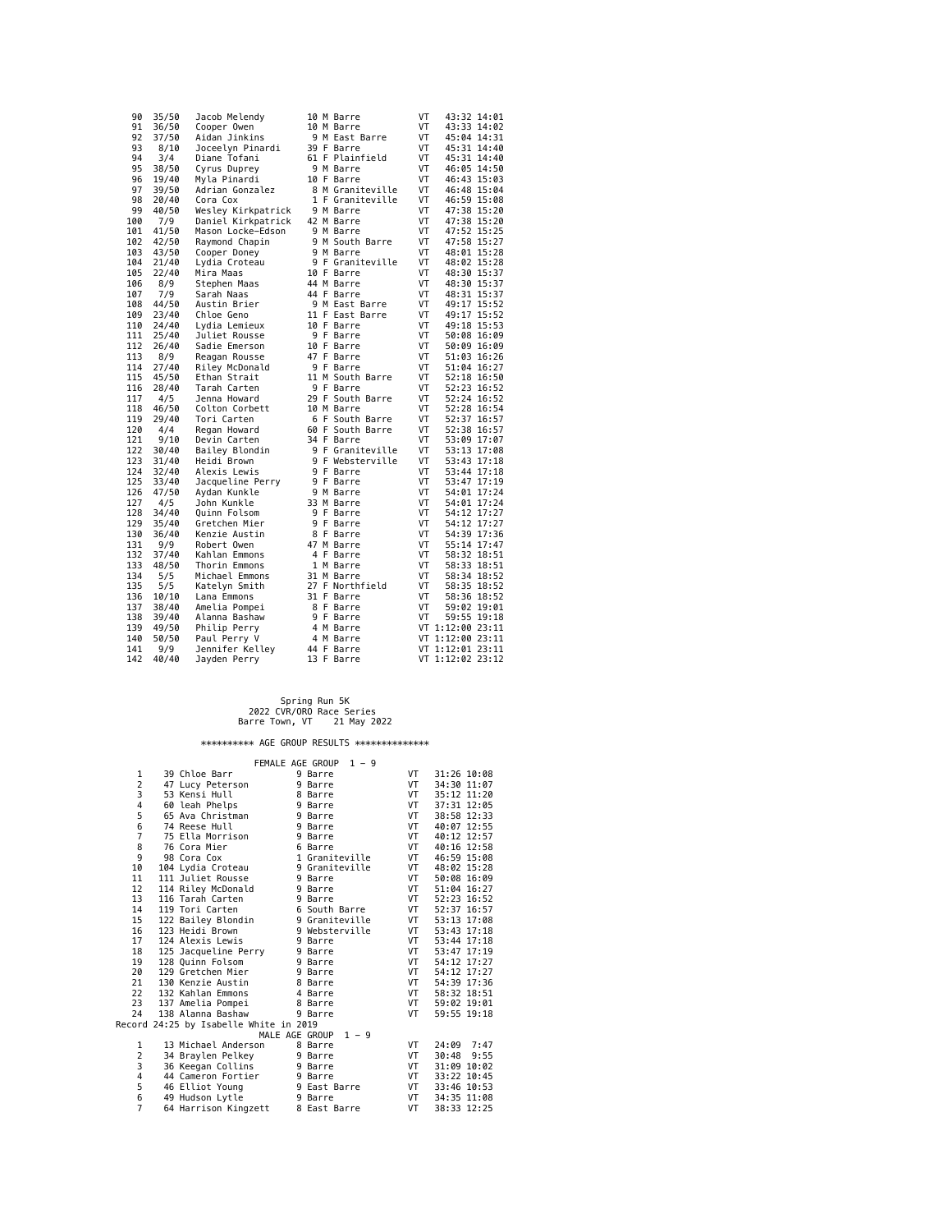| 90  | 35/50 | Jacob Melendy      |  | 10 M Barre       | ۷T |                  | 43:32 14:01 |
|-----|-------|--------------------|--|------------------|----|------------------|-------------|
| 91  | 36/50 | Cooper Owen        |  | 10 M Barre       | VT |                  | 43:33 14:02 |
| 92  | 37/50 | Aidan Jinkins      |  | 9 M East Barre   | VT |                  | 45:04 14:31 |
| 93  | 8/10  | Joceelyn Pinardi   |  | 39 F Barre       | VT |                  | 45:31 14:40 |
| 94  | 3/4   | Diane Tofani       |  | 61 F Plainfield  | VT |                  | 45:31 14:40 |
| 95  | 38/50 | Cyrus Duprey       |  | 9 M Barre        | VT | 46:05 14:50      |             |
| 96  | 19/40 | Myla Pinardi       |  | 10 F Barre       | VT |                  | 46:43 15:03 |
| 97  | 39/50 | Adrian Gonzalez    |  | 8 M Graniteville | VT |                  | 46:48 15:04 |
| 98  | 20/40 | Cora Cox           |  | 1 F Graniteville | VT |                  | 46:59 15:08 |
| 99  | 40/50 | Wesley Kirkpatrick |  | 9 M Barre        | VT |                  | 47:38 15:20 |
| 100 | 7/9   | Daniel Kirkpatrick |  | 42 M Barre       | VT |                  | 47:38 15:20 |
| 101 | 41/50 | Mason Locke-Edson  |  | 9 M Barre        | VT | 47:52 15:25      |             |
| 102 | 42/50 | Raymond Chapin     |  | 9 M South Barre  | VT |                  | 47:58 15:27 |
| 103 | 43/50 | Cooper Doney       |  | 9 M Barre        | VT |                  | 48:01 15:28 |
| 104 | 21/40 | Lydia Croteau      |  | 9 F Graniteville | VT |                  | 48:02 15:28 |
|     |       |                    |  | 10 F Barre       | VT |                  |             |
| 105 | 22/40 | Mira Maas          |  |                  |    | 48:30 15:37      |             |
| 106 | 8/9   | Stephen Maas       |  | 44 M Barre       | VT |                  | 48:30 15:37 |
| 107 | 7/9   | Sarah Naas         |  | 44 F Barre       | VT |                  | 48:31 15:37 |
| 108 | 44/50 | Austin Brier       |  | 9 M East Barre   | VT |                  | 49:17 15:52 |
| 109 | 23/40 | Chloe Geno         |  | 11 F East Barre  | VT |                  | 49:17 15:52 |
| 110 | 24/40 | Lydia Lemieux      |  | 10 F Barre       | VT |                  | 49:18 15:53 |
| 111 | 25/40 | Juliet Rousse      |  | 9 F Barre        | VT |                  | 50:08 16:09 |
| 112 | 26/40 | Sadie Emerson      |  | 10 F Barre       | VT | 50:09 16:09      |             |
| 113 | 8/9   | Reagan Rousse      |  | 47 F Barre       | VT |                  | 51:03 16:26 |
| 114 | 27/40 | Riley McDonald     |  | 9 F Barre        | VT | 51:04 16:27      |             |
| 115 | 45/50 | Ethan Strait       |  | 11 M South Barre | VT |                  | 52:18 16:50 |
| 116 | 28/40 | Tarah Carten       |  | 9 F Barre        | VT | 52:23 16:52      |             |
| 117 | 4/5   | Jenna Howard       |  | 29 F South Barre | VT | 52:24 16:52      |             |
| 118 | 46/50 | Colton Corbett     |  | 10 M Barre       | VT |                  | 52:28 16:54 |
| 119 | 29/40 | Tori Carten        |  | 6 F South Barre  | VT | 52:37 16:57      |             |
| 120 | 4/4   | Regan Howard       |  | 60 F South Barre | VT |                  | 52:38 16:57 |
| 121 | 9/10  | Devin Carten       |  | 34 F Barre       | VT | 53:09 17:07      |             |
| 122 | 30/40 | Bailey Blondin     |  | 9 F Graniteville | VT |                  | 53:13 17:08 |
| 123 | 31/40 | Heidi Brown        |  | 9 F Websterville | VT | 53:43 17:18      |             |
| 124 | 32/40 | Alexis Lewis       |  | 9 F Barre        | VT | 53:44 17:18      |             |
| 125 | 33/40 | Jacqueline Perry   |  | 9 F Barre        | VT |                  | 53:47 17:19 |
| 126 | 47/50 | Aydan Kunkle       |  | 9 M Barre        | VT | 54:01 17:24      |             |
| 127 | 4/5   | John Kunkle        |  | 33 M Barre       | VT |                  | 54:01 17:24 |
| 128 | 34/40 | Ouinn Folsom       |  | 9 F Barre        | VT |                  | 54:12 17:27 |
| 129 | 35/40 | Gretchen Mier      |  | 9 F Barre        | VT |                  | 54:12 17:27 |
| 130 | 36/40 | Kenzie Austin      |  | 8 F Barre        | VT | 54:39 17:36      |             |
| 131 | 9/9   | Robert Owen        |  | 47 M Barre       | VT | 55:14 17:47      |             |
| 132 | 37/40 | Kahlan Emmons      |  | 4 F Barre        | VT |                  | 58:32 18:51 |
| 133 | 48/50 | Thorin Emmons      |  | 1 M Barre        | VT | 58:33 18:51      |             |
| 134 | 5/5   | Michael Emmons     |  | 31 M Barre       | VT |                  | 58:34 18:52 |
|     |       |                    |  |                  |    |                  |             |
| 135 | 5/5   | Katelyn Smith      |  | 27 F Northfield  | VT | 58:35 18:52      |             |
| 136 | 10/10 | Lana Emmons        |  | 31 F Barre       | VT | 58:36 18:52      |             |
| 137 | 38/40 | Amelia Pompei      |  | 8 F Barre        | VT |                  | 59:02 19:01 |
| 138 | 39/40 | Alanna Bashaw      |  | 9 F Barre        | VT |                  | 59:55 19:18 |
| 139 | 49/50 | Philip Perry       |  | 4 M Barre        |    | VT 1:12:00 23:11 |             |
| 140 | 50/50 | Paul Perry V       |  | 4 M Barre        |    | VT 1:12:00 23:11 |             |
| 141 | 9/9   | Jennifer Kelley    |  | 44 F Barre       |    | VT 1:12:01 23:11 |             |
| 142 | 40/40 | Jayden Perry       |  | 13 F Barre       |    | VT 1:12:02 23:12 |             |

## Spring Run 5K<br>2022 CVR/ORO Race Series<br>Barre Town, VT 21 May 2022

## \*\*\*\*\*\*\*\*\*\* AGE GROUP RESULTS \*\*\*\*\*\*\*\*\*\*\*\*\*\*

|                                        |  |                      |  | FEMALE AGE GROUP<br>$1 - 9$ |           |               |  |
|----------------------------------------|--|----------------------|--|-----------------------------|-----------|---------------|--|
| $\mathbf{1}$                           |  | 39 Chloe Barr        |  | 9 Barre                     | VT        | 31:26 10:08   |  |
| 2                                      |  | 47 Lucy Peterson     |  | 9 Barre                     | VT        | 34:30 11:07   |  |
| 3                                      |  | 53 Kensi Hull        |  | 8 Barre                     | VT        | 35:12 11:20   |  |
| 4                                      |  | 60 leah Phelps       |  | 9 Barre                     | VT        | 37:31 12:05   |  |
| 5                                      |  | 65 Ava Christman     |  | 9 Barre                     | VT        | 38:58 12:33   |  |
| 6                                      |  | 74 Reese Hull        |  | 9 Barre                     | VT        | 40:07 12:55   |  |
| $\overline{7}$                         |  | 75 Ella Morrison     |  | 9 Barre                     | <b>VT</b> | 40:12 12:57   |  |
| 8                                      |  | 76 Cora Mier         |  | 6 Barre                     | VT        | 40:16 12:58   |  |
| 9                                      |  | 98 Cora Cox          |  | 1 Graniteville              | VT        | 46:59 15:08   |  |
| 10                                     |  | 104 Lydia Croteau    |  | 9 Graniteville              | VT        | 48:02 15:28   |  |
| 11                                     |  | 111 Juliet Rousse    |  | 9 Barre                     | VT        | 50:08 16:09   |  |
| 12                                     |  | 114 Riley McDonald   |  | 9 Barre                     | VT        | 51:04 16:27   |  |
| 13                                     |  | 116 Tarah Carten     |  | 9 Barre                     | VT        | 52:23 16:52   |  |
| 14                                     |  | 119 Tori Carten      |  | 6 South Barre               | VT        | 52:37 16:57   |  |
| 15                                     |  | 122 Bailey Blondin   |  | 9 Graniteville              | <b>VT</b> | 53:13 17:08   |  |
| 16                                     |  | 123 Heidi Brown      |  | 9 Websterville              | VT        | 53:43 17:18   |  |
| 17                                     |  | 124 Alexis Lewis     |  | 9 Barre                     | <b>VT</b> | 53:44 17:18   |  |
| 18                                     |  | 125 Jacqueline Perry |  | 9 Barre                     | VT        | 53:47 17:19   |  |
| 19                                     |  | 128 Ouinn Folsom     |  | 9 Barre                     | <b>VT</b> | 54:12 17:27   |  |
| 20                                     |  | 129 Gretchen Mier    |  | 9 Barre                     | <b>VT</b> | 54:12 17:27   |  |
| 21                                     |  | 130 Kenzie Austin    |  | 8 Barre                     | <b>VT</b> | 54:39 17:36   |  |
| 22                                     |  | 132 Kahlan Emmons    |  | 4 Barre                     | <b>VT</b> | 58:32 18:51   |  |
| 23                                     |  | 137 Amelia Pompei    |  | 8 Barre                     | <b>VT</b> | 59:02 19:01   |  |
| 24                                     |  | 138 Alanna Bashaw    |  | 9 Barre                     | <b>VT</b> | 59:55 19:18   |  |
| Record 24:25 by Isabelle White in 2019 |  |                      |  |                             |           |               |  |
|                                        |  | MALE AGE GROUP       |  | $1 - 9$                     |           |               |  |
| 1                                      |  | 13 Michael Anderson  |  | 8 Barre                     | VT        | 24:09<br>7:47 |  |
| $\overline{2}$                         |  | 34 Braylen Pelkey    |  | 9 Barre                     | VT        | 30:48<br>9:55 |  |
| 3                                      |  | 36 Keegan Collins    |  | 9 Barre                     | VT        | 31:09 10:02   |  |
| 4                                      |  | 44 Cameron Fortier   |  | 9 Barre                     | VT        | 33:22 10:45   |  |
| 5                                      |  | 46 Elliot Young      |  | 9 East Barre                | <b>VT</b> | 33:46 10:53   |  |
| 6                                      |  | 49 Hudson Lytle      |  | 9 Barre                     | VT        | 34:35 11:08   |  |
| $\overline{7}$                         |  | 64 Harrison Kingzett |  | 8 East Barre                | VT        | 38:33 12:25   |  |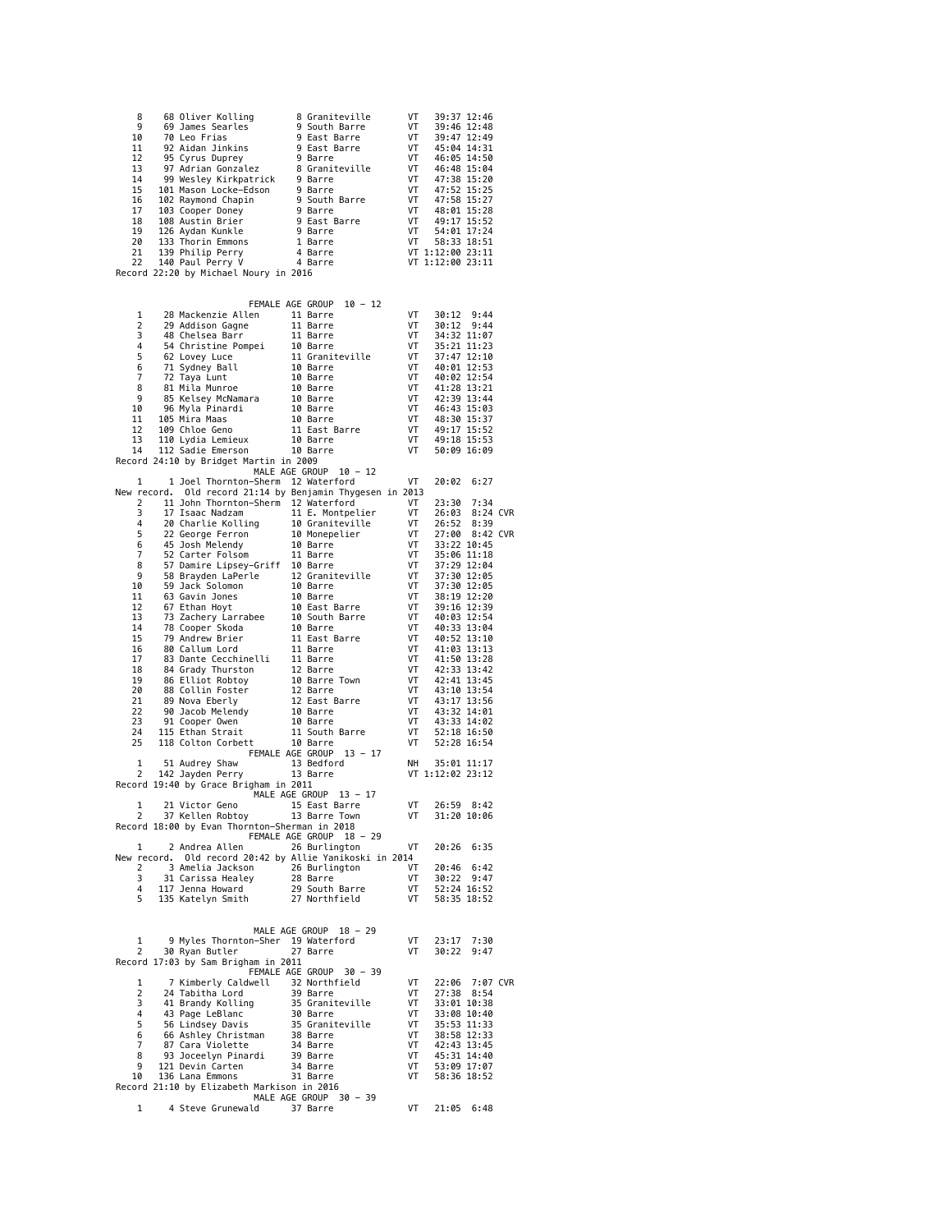| 8<br>9              | 68 Oliver Kolling<br>68 Oliver Kolling 8 Graniteville<br>69 James Searles 9 South Barre<br>70 Leo Frias 9 East Barre<br>95 Cyrus Duprey 9 Bast Barre<br>95 Cyrus Duprey 9 Barre<br>97 Adrian Gonzalez 8 Graniteville<br>99 Wesley Kirkpatrick 9 Barre<br>102 Raymond Cha | 8 Graniteville                 | VT<br>VT                                                                                                                                                                               | 39:37 12:46<br>39:46 12:48 |                |  |
|---------------------|--------------------------------------------------------------------------------------------------------------------------------------------------------------------------------------------------------------------------------------------------------------------------|--------------------------------|----------------------------------------------------------------------------------------------------------------------------------------------------------------------------------------|----------------------------|----------------|--|
| 10                  |                                                                                                                                                                                                                                                                          |                                | VT                                                                                                                                                                                     | 39:47 12:49                |                |  |
| 11<br>12            |                                                                                                                                                                                                                                                                          |                                | VT<br>VT                                                                                                                                                                               | 45:04 14:31<br>46:05 14:50 |                |  |
| 13                  |                                                                                                                                                                                                                                                                          |                                | VT<br>VT                                                                                                                                                                               | 46:48 15:04                |                |  |
| 14                  |                                                                                                                                                                                                                                                                          |                                |                                                                                                                                                                                        | 47:38 15:20                |                |  |
| 15<br>16            |                                                                                                                                                                                                                                                                          |                                |                                                                                                                                                                                        |                            |                |  |
| 17                  |                                                                                                                                                                                                                                                                          |                                | vi 47:38 15:20<br>Tr 47:52 15:25<br>Tr 47:58 15:27<br>Tr 48:01 15:28<br>Pr 49:17 15:52<br>Pr 58:33 18:51<br>Tr 58:33 18:51<br>Tr 1:12:00 23:11<br>Tr 1:12:00 23:11<br>Tr 1:12:00 23:11 |                            |                |  |
| 18<br>19            |                                                                                                                                                                                                                                                                          |                                |                                                                                                                                                                                        |                            |                |  |
| 20                  |                                                                                                                                                                                                                                                                          |                                |                                                                                                                                                                                        |                            |                |  |
| 21<br>22            |                                                                                                                                                                                                                                                                          |                                |                                                                                                                                                                                        |                            |                |  |
|                     | Record 22:20 by Michael Noury in 2016                                                                                                                                                                                                                                    |                                |                                                                                                                                                                                        |                            |                |  |
|                     |                                                                                                                                                                                                                                                                          |                                |                                                                                                                                                                                        |                            |                |  |
|                     |                                                                                                                                                                                                                                                                          | FEMALE AGE GROUP 10 - 12       |                                                                                                                                                                                        |                            |                |  |
| 1<br>2              | 28 Mackenzie Allen 11 Barre                                                                                                                                                                                                                                              |                                | VT                                                                                                                                                                                     | 30:12 9:44<br>30:12 9:44   |                |  |
| 3                   |                                                                                                                                                                                                                                                                          |                                |                                                                                                                                                                                        | 34:32 11:07                |                |  |
| 4<br>5              |                                                                                                                                                                                                                                                                          |                                |                                                                                                                                                                                        | 35:21 11:23                |                |  |
| 6                   |                                                                                                                                                                                                                                                                          |                                |                                                                                                                                                                                        | 37:47 12:10<br>40:01 12:53 |                |  |
| 7                   |                                                                                                                                                                                                                                                                          |                                |                                                                                                                                                                                        | 40:02 12:54                |                |  |
| 8<br>9              |                                                                                                                                                                                                                                                                          |                                |                                                                                                                                                                                        | 41:28 13:21<br>42:39 13:44 |                |  |
| 10                  |                                                                                                                                                                                                                                                                          |                                |                                                                                                                                                                                        | 46:43 15:03                |                |  |
| 11<br>12            |                                                                                                                                                                                                                                                                          |                                |                                                                                                                                                                                        | 48:30 15:37<br>49:17 15:52 |                |  |
| 13                  |                                                                                                                                                                                                                                                                          |                                |                                                                                                                                                                                        | 49:18 15:53                |                |  |
| 14                  | 28 Mackenzie Allen<br>28 Mackenzie Allen<br>48 Chelsea Barr 11 Barre VT<br>54 Christine Pompei 10 Barre VT<br>54 Christine Pompei 10 Barre VT<br>67 Lovey Luce 11 Graniteville VT<br>77 Sydney Ball 10 Barre VT<br>77 Sydney Ball 10 Barre V                             |                                |                                                                                                                                                                                        | 50:09 16:09                |                |  |
|                     | Record 24:10 by Bridget Martin in 2009                                                                                                                                                                                                                                   | MALE AGE GROUP 10 - 12         |                                                                                                                                                                                        |                            |                |  |
| 1                   | 1 Joel Thornton-Sherm 12 Waterford                                                                                                                                                                                                                                       |                                | VT                                                                                                                                                                                     | 20:02                      | 6:27           |  |
| New record.<br>2    | Old record 21:14 by Benjamin Thygesen in 2013                                                                                                                                                                                                                            |                                | VT                                                                                                                                                                                     | 23:30                      | 7:34           |  |
| 3                   | 11 John Thornton-Sherm 12 Waterford                                                                                                                                                                                                                                      |                                | VT                                                                                                                                                                                     | 26:03 8:24 CVR             |                |  |
| 4                   |                                                                                                                                                                                                                                                                          |                                | VT                                                                                                                                                                                     | 26:52                      | 8:39           |  |
| 5<br>6              | 17 Isaac Nadzam 11 E. Montpelier<br>20 Charlie Kolling 10 Graniteville<br>22 George Ferron 10 Monepelier<br>45 Josh Melendy 10 Barre<br>52 Carter Folsom 11 Barre                                                                                                        |                                | VT                                                                                                                                                                                     | 33:22 10:45                | 27:00 8:42 CVR |  |
| 7                   |                                                                                                                                                                                                                                                                          |                                | VT<br>VT<br>VT                                                                                                                                                                         | 35:06 11:18                |                |  |
| 8<br>9              |                                                                                                                                                                                                                                                                          |                                |                                                                                                                                                                                        | 37:29 12:04<br>37:30 12:05 |                |  |
| 10                  |                                                                                                                                                                                                                                                                          |                                |                                                                                                                                                                                        | 37:30 12:05                |                |  |
| 11<br>12            |                                                                                                                                                                                                                                                                          |                                |                                                                                                                                                                                        | 38:19 12:20<br>39:16 12:39 |                |  |
| 13                  | 52 Carter Folsom 11 Baire<br>58 Brayden LaPer-Griff 10 Barre<br>58 Brayden LaPer-Griff 10 Barre<br>59 Jack Solomon 10 Barre<br>67 Grahan Hoyt 10 Barre<br>67 Ethan Hoyt 10 Bast Barre<br>67 Ethan Hoyt<br>78 Cooper Skoda 10 Bourb Barre<br>79                           |                                |                                                                                                                                                                                        | 40:03 12:54                |                |  |
| 14                  |                                                                                                                                                                                                                                                                          |                                |                                                                                                                                                                                        | 40:33 13:04                |                |  |
| 15<br>16            |                                                                                                                                                                                                                                                                          |                                |                                                                                                                                                                                        | 40:52 13:10<br>41:03 13:13 |                |  |
| 17                  | ov Catum Lord 11 Barre<br>83 Dante Cecchinelli 18 Darre<br>84 Grady Thurston 12 Barre<br>86 Collin Foster 12 Barre Town<br>88 Collin Foster 12 Barre<br>89 Nova Eberly 12 East Barre<br>90 Jacob Melendy 10 Barre<br>91 Cooper Owen 11 Bouth                             |                                | V<br>VT<br>VT<br>VT<br>VT                                                                                                                                                              | 41:50 13:28                |                |  |
| 18<br>19            |                                                                                                                                                                                                                                                                          |                                |                                                                                                                                                                                        | 42:33 13:42<br>42:41 13:45 |                |  |
| 20                  |                                                                                                                                                                                                                                                                          |                                |                                                                                                                                                                                        | 43:10 13:54                |                |  |
| 21<br>22            |                                                                                                                                                                                                                                                                          |                                | $\frac{VT}{VT}$                                                                                                                                                                        | 43:17 13:56                |                |  |
| 23                  |                                                                                                                                                                                                                                                                          |                                | VT                                                                                                                                                                                     | 43:32 14:01<br>43:33 14:02 |                |  |
| 24                  |                                                                                                                                                                                                                                                                          |                                | VT                                                                                                                                                                                     | 52:18 16:50                |                |  |
| 25                  |                                                                                                                                                                                                                                                                          | FEMALE AGE GROUP 13 - 17       | VT                                                                                                                                                                                     | 52:28 16:54                |                |  |
| 1                   | 51 Audrey Shaw                                                                                                                                                                                                                                                           | 13 Bedford                     | NH                                                                                                                                                                                     | 35:01 11:17                |                |  |
| 2                   | 142 Jayden Perry<br>Record 19:40 by Grace Brigham in 2011                                                                                                                                                                                                                | 13 Barre                       |                                                                                                                                                                                        | VT 1:12:02 23:12           |                |  |
|                     |                                                                                                                                                                                                                                                                          | MALE AGE GROUP 13 - 17         |                                                                                                                                                                                        |                            |                |  |
| 1<br>2              | 21 Victor Geno<br>37 Kellen Robtoy                                                                                                                                                                                                                                       | 15 East Barre<br>13 Barre Town | VT<br>VT                                                                                                                                                                               | 26:59 8:42                 |                |  |
|                     | Record 18:00 by Evan Thornton-Sherman in 2018                                                                                                                                                                                                                            |                                |                                                                                                                                                                                        | 31:20 10:06                |                |  |
|                     |                                                                                                                                                                                                                                                                          | FEMALE AGE GROUP 18 - 29       |                                                                                                                                                                                        |                            |                |  |
| 1                   | 2 Andrea Allen<br>New record. Old record 20:42 by Allie Yanikoski in 2014                                                                                                                                                                                                | 26 Burlington                  | VT                                                                                                                                                                                     | 20:26 6:35                 |                |  |
| 2                   | 3 Amelia Jackson                                                                                                                                                                                                                                                         | 26 Burlington                  | VT                                                                                                                                                                                     | 20:46                      | 6:42           |  |
| 3<br>4              | 31 Carissa Healey<br>117 Jenna Howard                                                                                                                                                                                                                                    | 28 Barre<br>29 South Barre     | VT<br>VT                                                                                                                                                                               | 30:22 9:47<br>52:24 16:52  |                |  |
| 5                   | 135 Katelyn Smith                                                                                                                                                                                                                                                        | 27 Northfield                  | VT                                                                                                                                                                                     | 58:35 18:52                |                |  |
|                     |                                                                                                                                                                                                                                                                          |                                |                                                                                                                                                                                        |                            |                |  |
|                     |                                                                                                                                                                                                                                                                          | MALE AGE GROUP 18 - 29         |                                                                                                                                                                                        |                            |                |  |
| 1<br>2              | 9 Myles Thornton-Sher 19 Waterford<br>30 Ryan Butler                                                                                                                                                                                                                     | 27 Barre                       | VT<br>VT                                                                                                                                                                               | 23:17<br>30:22             | 7:30<br>9:47   |  |
|                     | Record 17:03 by Sam Brigham in 2011                                                                                                                                                                                                                                      |                                |                                                                                                                                                                                        |                            |                |  |
|                     |                                                                                                                                                                                                                                                                          | FEMALE AGE GROUP<br>$30 - 39$  |                                                                                                                                                                                        |                            |                |  |
| 1<br>2              | 7 Kimberly Caldwell<br>24 Tabitha Lord                                                                                                                                                                                                                                   | 32 Northfield<br>39 Barre      | VT<br>VT                                                                                                                                                                               | 22:06<br>27:38 8:54        | 7:07 CVR       |  |
| 3                   | 41 Brandy Kolling                                                                                                                                                                                                                                                        | 35 Graniteville                | VT                                                                                                                                                                                     | 33:01 10:38                |                |  |
| $\overline{4}$<br>5 | 43 Page LeBlanc<br>56 Lindsey Davis                                                                                                                                                                                                                                      | 30 Barre<br>35 Graniteville    | VT<br>VT                                                                                                                                                                               | 33:08 10:40<br>35:53 11:33 |                |  |
| 6                   | 66 Ashley Christman                                                                                                                                                                                                                                                      | 38 Barre                       | VT                                                                                                                                                                                     | 38:58 12:33                |                |  |
| $\overline{7}$<br>8 | 87 Cara Violette<br>93 Joceelyn Pinardi                                                                                                                                                                                                                                  | 34 Barre<br>39 Barre           | VT<br>VT                                                                                                                                                                               | 42:43 13:45<br>45:31 14:40 |                |  |
| 9                   | 121 Devin Carten                                                                                                                                                                                                                                                         | 34 Barre                       | VT                                                                                                                                                                                     | 53:09 17:07                |                |  |
| 10                  | 136 Lana Emmons                                                                                                                                                                                                                                                          | 31 Barre                       | VT                                                                                                                                                                                     | 58:36 18:52                |                |  |
|                     | Record 21:10 by Elizabeth Markison in 2016                                                                                                                                                                                                                               | MALE AGE GROUP 30 - 39         |                                                                                                                                                                                        |                            |                |  |
|                     | 4 Steve Grunewald                                                                                                                                                                                                                                                        | 37 Barre                       | VT                                                                                                                                                                                     | 21:05 6:48                 |                |  |